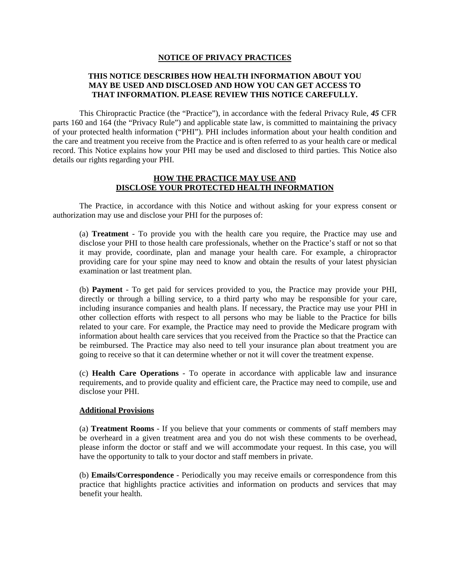#### **NOTICE OF PRIVACY PRACTICES**

# **THIS NOTICE DESCRIBES HOW HEALTH INFORMATION ABOUT YOU MAY BE USED AND DISCLOSED AND HOW YOU CAN GET ACCESS TO THAT INFORMATION. PLEASE REVIEW THIS NOTICE CAREFULLY.**

This Chiropractic Practice (the "Practice"), in accordance with the federal Privacy Rule, *45* CFR parts 160 and 164 (the "Privacy Rule") and applicable state law, is committed to maintaining the privacy of your protected health information ("PHI"). PHI includes information about your health condition and the care and treatment you receive from the Practice and is often referred to as your health care or medical record. This Notice explains how your PHI may be used and disclosed to third parties. This Notice also details our rights regarding your PHI.

### **HOW THE PRACTICE MAY USE AND DISCLOSE YOUR PROTECTED HEALTH INFORMATION**

The Practice, in accordance with this Notice and without asking for your express consent or authorization may use and disclose your PHI for the purposes of:

(a) **Treatment** - To provide you with the health care you require, the Practice may use and disclose your PHI to those health care professionals, whether on the Practice's staff or not so that it may provide, coordinate, plan and manage your health care. For example, a chiropractor providing care for your spine may need to know and obtain the results of your latest physician examination or last treatment plan.

(b) **Payment** - To get paid for services provided to you, the Practice may provide your PHI, directly or through a billing service, to a third party who may be responsible for your care, including insurance companies and health plans. If necessary, the Practice may use your PHI in other collection efforts with respect to all persons who may be liable to the Practice for bills related to your care. For example, the Practice may need to provide the Medicare program with information about health care services that you received from the Practice so that the Practice can be reimbursed. The Practice may also need to tell your insurance plan about treatment you are going to receive so that it can determine whether or not it will cover the treatment expense.

(c) **Health Care Operations** - To operate in accordance with applicable law and insurance requirements, and to provide quality and efficient care, the Practice may need to compile, use and disclose your PHI.

#### **Additional Provisions**

(a) **Treatment Rooms** - If you believe that your comments or comments of staff members may be overheard in a given treatment area and you do not wish these comments to be overhead, please inform the doctor or staff and we will accommodate your request. In this case, you will have the opportunity to talk to your doctor and staff members in private.

(b) **Emails/Correspondence** - Periodically you may receive emails or correspondence from this practice that highlights practice activities and information on products and services that may benefit your health.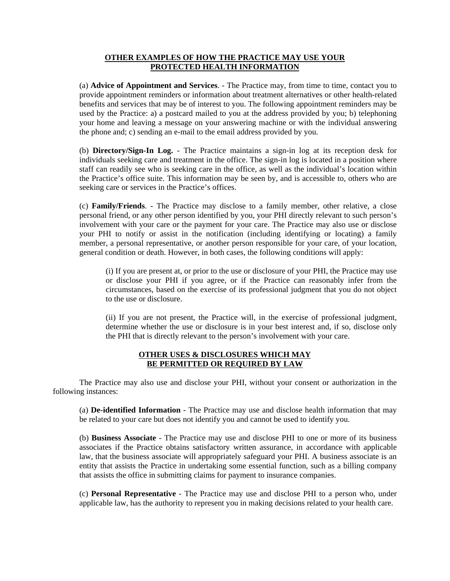# **OTHER EXAMPLES OF HOW THE PRACTICE MAY USE YOUR PROTECTED HEALTH INFORMATION**

(a) **Advice of Appointment and Services**. - The Practice may, from time to time, contact you to provide appointment reminders or information about treatment alternatives or other health-related benefits and services that may be of interest to you. The following appointment reminders may be used by the Practice: a) a postcard mailed to you at the address provided by you; b) telephoning your home and leaving a message on your answering machine or with the individual answering the phone and; c) sending an e-mail to the email address provided by you.

(b) **Directory/Sign-In Log.** - The Practice maintains a sign-in log at its reception desk for individuals seeking care and treatment in the office. The sign-in log is located in a position where staff can readily see who is seeking care in the office, as well as the individual's location within the Practice's office suite. This information may be seen by, and is accessible to, others who are seeking care or services in the Practice's offices.

(c) **Family/Friends**. - The Practice may disclose to a family member, other relative, a close personal friend, or any other person identified by you, your PHI directly relevant to such person's involvement with your care or the payment for your care. The Practice may also use or disclose your PHI to notify or assist in the notification (including identifying or locating) a family member, a personal representative, or another person responsible for your care, of your location, general condition or death. However, in both cases, the following conditions will apply:

(i) If you are present at, or prior to the use or disclosure of your PHI, the Practice may use or disclose your PHI if you agree, or if the Practice can reasonably infer from the circumstances, based on the exercise of its professional judgment that you do not object to the use or disclosure.

(ii) If you are not present, the Practice will, in the exercise of professional judgment, determine whether the use or disclosure is in your best interest and, if so, disclose only the PHI that is directly relevant to the person's involvement with your care.

### **OTHER USES & DISCLOSURES WHICH MAY BE PERMITTED OR REQUIRED BY LAW**

The Practice may also use and disclose your PHI, without your consent or authorization in the following instances:

(a) **De-identified Information** - The Practice may use and disclose health information that may be related to your care but does not identify you and cannot be used to identify you.

(b) **Business Associate** - The Practice may use and disclose PHI to one or more of its business associates if the Practice obtains satisfactory written assurance, in accordance with applicable law, that the business associate will appropriately safeguard your PHI. A business associate is an entity that assists the Practice in undertaking some essential function, such as a billing company that assists the office in submitting claims for payment to insurance companies.

(c) **Personal Representative** - The Practice may use and disclose PHI to a person who, under applicable law, has the authority to represent you in making decisions related to your health care.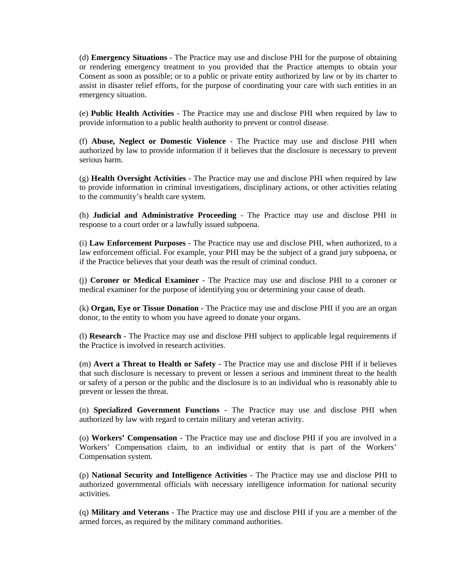(d) **Emergency Situations** - The Practice may use and disclose PHI for the purpose of obtaining or rendering emergency treatment to you provided that the Practice attempts to obtain your Consent as soon as possible; or to a public or private entity authorized by law or by its charter to assist in disaster relief efforts, for the purpose of coordinating your care with such entities in an emergency situation.

(e) **Public Health Activities** - The Practice may use and disclose PHI when required by law to provide information to a public health authority to prevent or control disease.

(f) **Abuse, Neglect or Domestic Violence** - The Practice may use and disclose PHI when authorized by law to provide information if it believes that the disclosure is necessary to prevent serious harm.

(g) **Health Oversight Activities** - The Practice may use and disclose PHI when required by law to provide information in criminal investigations, disciplinary actions, or other activities relating to the community's health care system.

(h) **Judicial and Administrative Proceeding** - The Practice may use and disclose PHI in response to a court order or a lawfully issued subpoena.

(i) **Law Enforcement Purposes** - The Practice may use and disclose PHI, when authorized, to a law enforcement official. For example, your PHI may be the subject of a grand jury subpoena, or if the Practice believes that your death was the result of criminal conduct.

(j) **Coroner or Medical Examiner** - The Practice may use and disclose PHI to a coroner or medical examiner for the purpose of identifying you or determining your cause of death.

(k) **Organ, Eye or Tissue Donation** - The Practice may use and disclose PHI if you are an organ donor, to the entity to whom you have agreed to donate your organs.

(l) **Research** - The Practice may use and disclose PHI subject to applicable legal requirements if the Practice is involved in research activities.

(m) **Avert a Threat to Health or Safety** - The Practice may use and disclose PHI if it believes that such disclosure is necessary to prevent or lessen a serious and imminent threat to the health or safety of a person or the public and the disclosure is to an individual who is reasonably able to prevent or lessen the threat.

(n) **Specialized Government Functions** - The Practice may use and disclose PHI when authorized by law with regard to certain military and veteran activity.

(o) **Workers' Compensation** - The Practice may use and disclose PHI if you are involved in a Workers' Compensation claim, to an individual or entity that is part of the Workers' Compensation system.

(p) **National Security and Intelligence Activities** - The Practice may use and disclose PHI to authorized governmental officials with necessary intelligence information for national security activities.

(q) **Military and Veterans** - The Practice may use and disclose PHI if you are a member of the armed forces, as required by the military command authorities.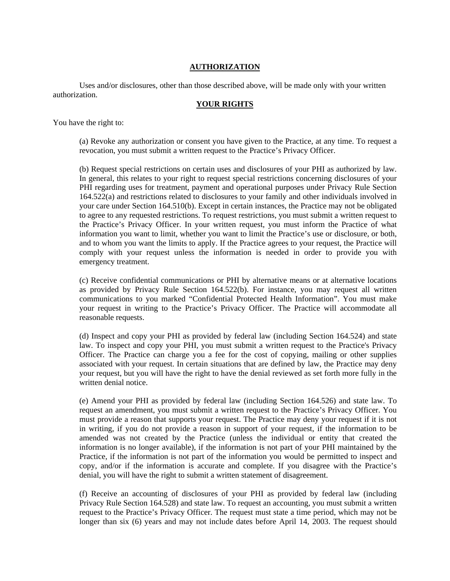# **AUTHORIZATION**

Uses and/or disclosures, other than those described above, will be made only with your written authorization.

### **YOUR RIGHTS**

You have the right to:

(a) Revoke any authorization or consent you have given to the Practice, at any time. To request a revocation, you must submit a written request to the Practice's Privacy Officer.

(b) Request special restrictions on certain uses and disclosures of your PHI as authorized by law. In general, this relates to your right to request special restrictions concerning disclosures of your PHI regarding uses for treatment, payment and operational purposes under Privacy Rule Section 164.522(a) and restrictions related to disclosures to your family and other individuals involved in your care under Section 164.510(b). Except in certain instances, the Practice may not be obligated to agree to any requested restrictions. To request restrictions, you must submit a written request to the Practice's Privacy Officer. In your written request, you must inform the Practice of what information you want to limit, whether you want to limit the Practice's use or disclosure, or both, and to whom you want the limits to apply. If the Practice agrees to your request, the Practice will comply with your request unless the information is needed in order to provide you with emergency treatment.

(c) Receive confidential communications or PHI by alternative means or at alternative locations as provided by Privacy Rule Section 164.522(b). For instance, you may request all written communications to you marked "Confidential Protected Health Information". You must make your request in writing to the Practice's Privacy Officer. The Practice will accommodate all reasonable requests.

(d) Inspect and copy your PHI as provided by federal law (including Section 164.524) and state law. To inspect and copy your PHI, you must submit a written request to the Practice's Privacy Officer. The Practice can charge you a fee for the cost of copying, mailing or other supplies associated with your request. In certain situations that are defined by law, the Practice may deny your request, but you will have the right to have the denial reviewed as set forth more fully in the written denial notice.

(e) Amend your PHI as provided by federal law (including Section 164.526) and state law. To request an amendment, you must submit a written request to the Practice's Privacy Officer. You must provide a reason that supports your request. The Practice may deny your request if it is not in writing, if you do not provide a reason in support of your request, if the information to be amended was not created by the Practice (unless the individual or entity that created the information is no longer available), if the information is not part of your PHI maintained by the Practice, if the information is not part of the information you would be permitted to inspect and copy, and/or if the information is accurate and complete. If you disagree with the Practice's denial, you will have the right to submit a written statement of disagreement.

(f) Receive an accounting of disclosures of your PHI as provided by federal law (including Privacy Rule Section 164.528) and state law. To request an accounting, you must submit a written request to the Practice's Privacy Officer. The request must state a time period, which may not be longer than six (6) years and may not include dates before April 14, 2003. The request should